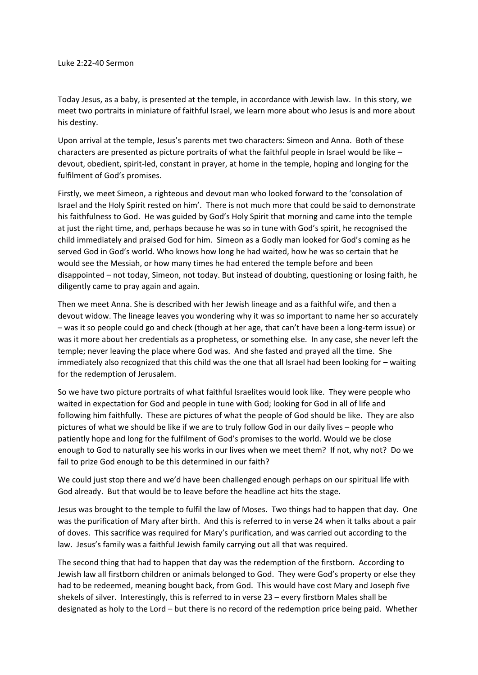Today Jesus, as a baby, is presented at the temple, in accordance with Jewish law. In this story, we meet two portraits in miniature of faithful Israel, we learn more about who Jesus is and more about his destiny.

Upon arrival at the temple, Jesus's parents met two characters: Simeon and Anna. Both of these characters are presented as picture portraits of what the faithful people in Israel would be like – devout, obedient, spirit-led, constant in prayer, at home in the temple, hoping and longing for the fulfilment of God's promises.

Firstly, we meet Simeon, a righteous and devout man who looked forward to the 'consolation of Israel and the Holy Spirit rested on him'. There is not much more that could be said to demonstrate his faithfulness to God. He was guided by God's Holy Spirit that morning and came into the temple at just the right time, and, perhaps because he was so in tune with God's spirit, he recognised the child immediately and praised God for him. Simeon as a Godly man looked for God's coming as he served God in God's world. Who knows how long he had waited, how he was so certain that he would see the Messiah, or how many times he had entered the temple before and been disappointed – not today, Simeon, not today. But instead of doubting, questioning or losing faith, he diligently came to pray again and again.

Then we meet Anna. She is described with her Jewish lineage and as a faithful wife, and then a devout widow. The lineage leaves you wondering why it was so important to name her so accurately – was it so people could go and check (though at her age, that can't have been a long-term issue) or was it more about her credentials as a prophetess, or something else. In any case, she never left the temple; never leaving the place where God was. And she fasted and prayed all the time. She immediately also recognized that this child was the one that all Israel had been looking for – waiting for the redemption of Jerusalem.

So we have two picture portraits of what faithful Israelites would look like. They were people who waited in expectation for God and people in tune with God; looking for God in all of life and following him faithfully. These are pictures of what the people of God should be like. They are also pictures of what we should be like if we are to truly follow God in our daily lives – people who patiently hope and long for the fulfilment of God's promises to the world. Would we be close enough to God to naturally see his works in our lives when we meet them? If not, why not? Do we fail to prize God enough to be this determined in our faith?

We could just stop there and we'd have been challenged enough perhaps on our spiritual life with God already. But that would be to leave before the headline act hits the stage.

Jesus was brought to the temple to fulfil the law of Moses. Two things had to happen that day. One was the purification of Mary after birth. And this is referred to in verse 24 when it talks about a pair of doves. This sacrifice was required for Mary's purification, and was carried out according to the law. Jesus's family was a faithful Jewish family carrying out all that was required.

The second thing that had to happen that day was the redemption of the firstborn. According to Jewish law all firstborn children or animals belonged to God. They were God's property or else they had to be redeemed, meaning bought back, from God. This would have cost Mary and Joseph five shekels of silver. Interestingly, this is referred to in verse 23 – every firstborn Males shall be designated as holy to the Lord – but there is no record of the redemption price being paid. Whether